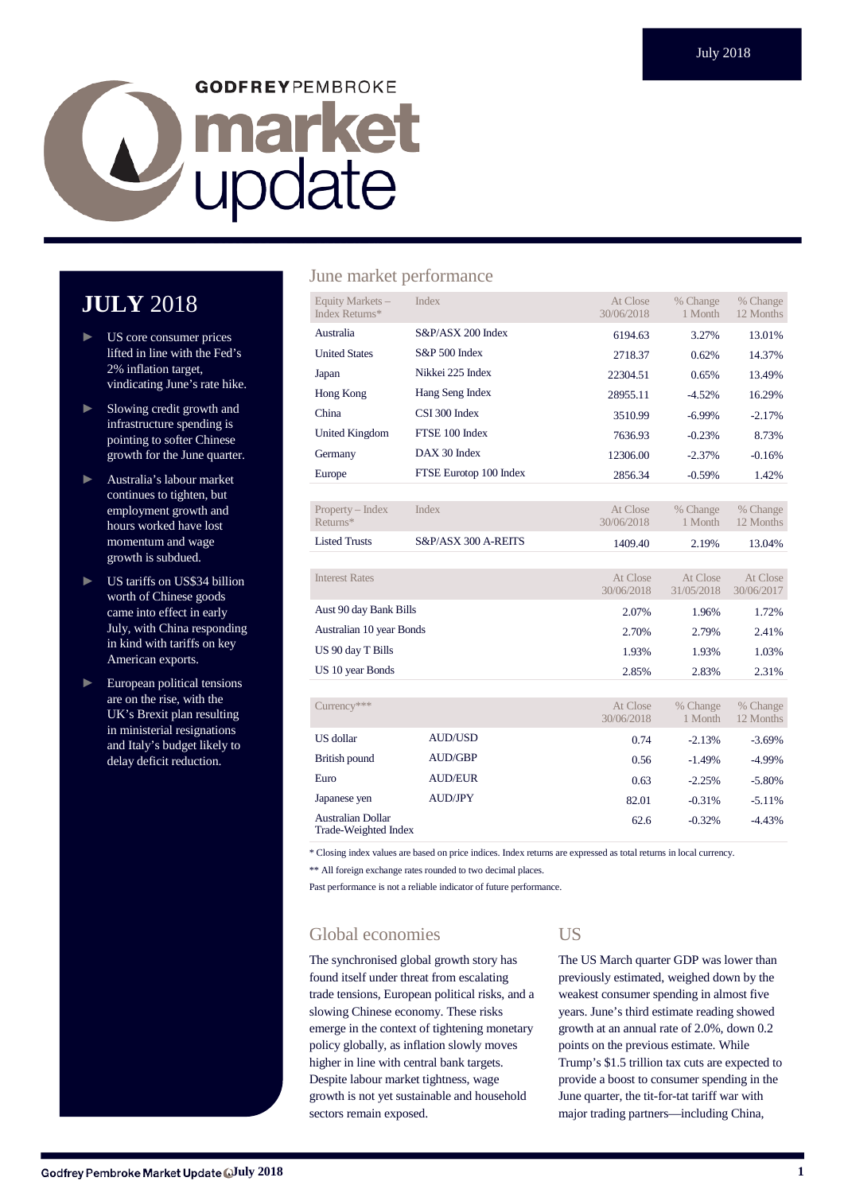# **GODFREYPEMBROKE D** market

# **JULY** 2018

- US core consumer prices lifted in line with the Fed's 2% inflation target, vindicating June's rate hike.
- ► Slowing credit growth and infrastructure spending is pointing to softer Chinese growth for the June quarter.
- ► Australia's labour market continues to tighten, but employment growth and hours worked have lost momentum and wage growth is subdued.
- ► US tariffs on US\$34 billion worth of Chinese goods came into effect in early July, with China responding in kind with tariffs on key American exports.
- European political tensions are on the rise, with the UK's Brexit plan resulting in ministerial resignations and Italy's budget likely to delay deficit reduction.

#### June market performance

| Equity Markets -<br>Index Returns* | Index                  | At Close<br>30/06/2018 | % Change<br>1 Month    | % Change<br>12 Months  |
|------------------------------------|------------------------|------------------------|------------------------|------------------------|
| Australia                          | S&P/ASX 200 Index      | 6194.63                | 3.27%                  | 13.01%                 |
| <b>United States</b>               | S&P 500 Index          | 2718.37                | 0.62%                  | 14.37%                 |
| Japan                              | Nikkei 225 Index       | 22304.51               | 0.65%                  | 13.49%                 |
| Hong Kong                          | Hang Seng Index        | 28955.11               | $-4.52%$               | 16.29%                 |
| China                              | CSI 300 Index          | 3510.99                | $-6.99\%$              | $-2.17%$               |
| <b>United Kingdom</b>              | FTSE 100 Index         | 7636.93                | $-0.23%$               | 8.73%                  |
| Germany                            | DAX 30 Index           | 12306.00               | $-2.37%$               | $-0.16%$               |
| Europe                             | FTSE Eurotop 100 Index | 2856.34                | $-0.59%$               | 1.42%                  |
|                                    |                        |                        |                        |                        |
| Property – Index<br>Returns*       | <b>Index</b>           | At Close<br>30/06/2018 | % Change<br>1 Month    | % Change<br>12 Months  |
| <b>Listed Trusts</b>               | S&P/ASX 300 A-REITS    | 1409.40                | 2.19%                  | 13.04%                 |
|                                    |                        |                        |                        |                        |
| <b>Interest Rates</b>              |                        | At Close<br>30/06/2018 | At Close<br>31/05/2018 | At Close<br>30/06/2017 |
| Aust 90 day Bank Bills             |                        | 2.07%                  | 1.96%                  | 1.72%                  |
| Australian 10 year Bonds           |                        | 2.70%                  | 2.79%                  | 2.41%                  |
| US 90 day T Bills                  |                        | 1.93%                  | 1.93%                  | 1.03%                  |
| US 10 year Bonds                   |                        | 2.85%                  | 2.83%                  | 2.31%                  |
|                                    |                        |                        |                        |                        |
| Currency***                        |                        | At Close<br>30/06/2018 | % Change<br>1 Month    | % Change<br>12 Months  |
|                                    |                        |                        |                        |                        |

|                                           |                | JU/UU/ZUI0 | $1.1$ Y I V J I L I I | $L \geq 1$ VIUILIIN |
|-------------------------------------------|----------------|------------|-----------------------|---------------------|
| US dollar                                 | <b>AUD/USD</b> | 0.74       | $-2.13%$              | $-3.69\%$           |
| British pound                             | <b>AUD/GBP</b> | 0.56       | $-1.49%$              | $-4.99\%$           |
| Euro                                      | <b>AUD/EUR</b> | 0.63       | $-2.25%$              | $-5.80\%$           |
| Japanese yen                              | <b>AUD/JPY</b> | 82.01      | $-0.31%$              | $-5.11%$            |
| Australian Dollar<br>Trade-Weighted Index |                | 62.6       | $-0.32%$              | $-4.43%$            |

\* Closing index values are based on price indices. Index returns are expressed as total returns in local currency.

\*\* All foreign exchange rates rounded to two decimal places.

Past performance is not a reliable indicator of future performance.

### Global economies

The synchronised global growth story has found itself under threat from escalating trade tensions, European political risks, and a slowing Chinese economy. These risks emerge in the context of tightening monetary policy globally, as inflation slowly moves higher in line with central bank targets. Despite labour market tightness, wage growth is not yet sustainable and household sectors remain exposed.

#### US

The US March quarter GDP was lower than previously estimated, weighed down by the weakest consumer spending in almost five years. June's third estimate reading showed growth at an annual rate of 2.0%, down 0.2 points on the previous estimate. While Trump's \$1.5 trillion tax cuts are expected to provide a boost to consumer spending in the June quarter, the tit-for-tat tariff war with major trading partners—including China,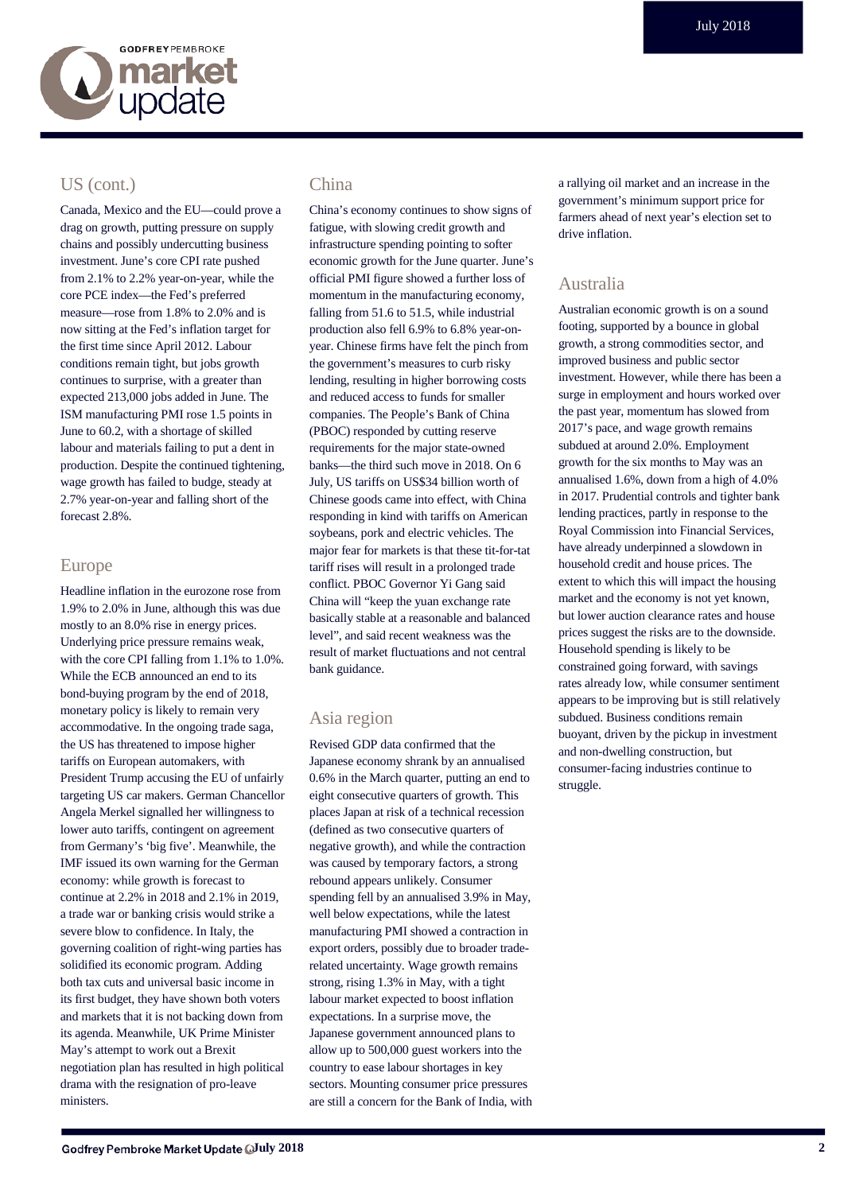

#### US (cont.)

Canada, Mexico and the EU—could prove a drag on growth, putting pressure on supply chains and possibly undercutting business investment. June's core CPI rate pushed from 2.1% to 2.2% year-on-year, while the core PCE index—the Fed's preferred measure—rose from 1.8% to 2.0% and is now sitting at the Fed's inflation target for the first time since April 2012. Labour conditions remain tight, but jobs growth continues to surprise, with a greater than expected 213,000 jobs added in June. The ISM manufacturing PMI rose 1.5 points in June to 60.2, with a shortage of skilled labour and materials failing to put a dent in production. Despite the continued tightening, wage growth has failed to budge, steady at 2.7% year-on-year and falling short of the forecast 2.8%.

#### Europe

Headline inflation in the eurozone rose from 1.9% to 2.0% in June, although this was due mostly to an 8.0% rise in energy prices. Underlying price pressure remains weak, with the core CPI falling from 1.1% to 1.0%. While the ECB announced an end to its bond-buying program by the end of 2018, monetary policy is likely to remain very accommodative. In the ongoing trade saga, the US has threatened to impose higher tariffs on European automakers, with President Trump accusing the EU of unfairly targeting US car makers. German Chancellor Angela Merkel signalled her willingness to lower auto tariffs, contingent on agreement from Germany's 'big five'. Meanwhile, the IMF issued its own warning for the German economy: while growth is forecast to continue at 2.2% in 2018 and 2.1% in 2019, a trade war or banking crisis would strike a severe blow to confidence. In Italy, the governing coalition of right-wing parties has solidified its economic program. Adding both tax cuts and universal basic income in its first budget, they have shown both voters and markets that it is not backing down from its agenda. Meanwhile, UK Prime Minister May's attempt to work out a Brexit negotiation plan has resulted in high political drama with the resignation of pro-leave ministers.

#### China

China's economy continues to show signs of fatigue, with slowing credit growth and infrastructure spending pointing to softer economic growth for the June quarter. June's official PMI figure showed a further loss of momentum in the manufacturing economy, falling from 51.6 to 51.5, while industrial production also fell 6.9% to 6.8% year-onyear. Chinese firms have felt the pinch from the government's measures to curb risky lending, resulting in higher borrowing costs and reduced access to funds for smaller companies. The People's Bank of China (PBOC) responded by cutting reserve requirements for the major state-owned banks—the third such move in 2018. On 6 July, US tariffs on US\$34 billion worth of Chinese goods came into effect, with China responding in kind with tariffs on American soybeans, pork and electric vehicles. The major fear for markets is that these tit-for-tat tariff rises will result in a prolonged trade conflict. PBOC Governor Yi Gang said China will "keep the yuan exchange rate basically stable at a reasonable and balanced level", and said recent weakness was the result of market fluctuations and not central bank guidance.

#### Asia region

Revised GDP data confirmed that the Japanese economy shrank by an annualised 0.6% in the March quarter, putting an end to eight consecutive quarters of growth. This places Japan at risk of a technical recession (defined as two consecutive quarters of negative growth), and while the contraction was caused by temporary factors, a strong rebound appears unlikely. Consumer spending fell by an annualised 3.9% in May, well below expectations, while the latest manufacturing PMI showed a contraction in export orders, possibly due to broader traderelated uncertainty. Wage growth remains strong, rising 1.3% in May, with a tight labour market expected to boost inflation expectations. In a surprise move, the Japanese government announced plans to allow up to 500,000 guest workers into the country to ease labour shortages in key sectors. Mounting consumer price pressures are still a concern for the Bank of India, with a rallying oil market and an increase in the government's minimum support price for farmers ahead of next year's election set to drive inflation.

#### Australia

Australian economic growth is on a sound footing, supported by a bounce in global growth, a strong commodities sector, and improved business and public sector investment. However, while there has been a surge in employment and hours worked over the past year, momentum has slowed from 2017's pace, and wage growth remains subdued at around 2.0%. Employment growth for the six months to May was an annualised 1.6%, down from a high of 4.0% in 2017. Prudential controls and tighter bank lending practices, partly in response to the Royal Commission into Financial Services, have already underpinned a slowdown in household credit and house prices. The extent to which this will impact the housing market and the economy is not yet known, but lower auction clearance rates and house prices suggest the risks are to the downside. Household spending is likely to be constrained going forward, with savings rates already low, while consumer sentiment appears to be improving but is still relatively subdued. Business conditions remain buoyant, driven by the pickup in investment and non-dwelling construction, but consumer-facing industries continue to struggle.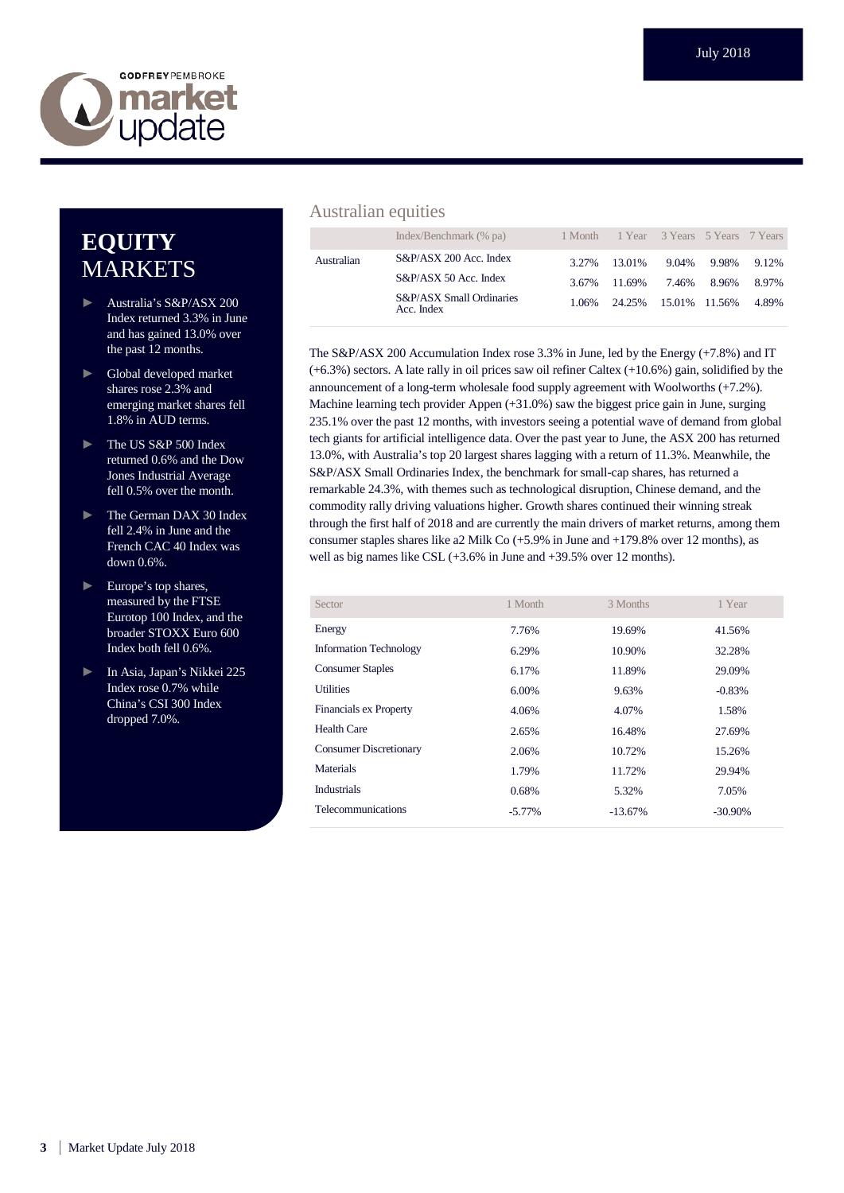

# **EQUITY MARKETS**

- ► Australia's S&P/ASX 200 Index returned 3.3% in June and has gained 13.0% over the past 12 months.
- ► Global developed market shares rose 2.3% and emerging market shares fell 1.8% in AUD terms.
- ► The US S&P 500 Index returned 0.6% and the Dow Jones Industrial Average fell 0.5% over the month.
- ► The German DAX 30 Index fell 2.4% in June and the French CAC 40 Index was down 0.6%.
- ► Europe's top shares, measured by the FTSE Eurotop 100 Index, and the broader STOXX Euro 600 Index both fell 0.6%.
- ► In Asia, Japan's Nikkei 225 Index rose 0.7% while China's CSI 300 Index dropped 7.0%.

#### Australian equities

|            | Index/Benchmark (% pa)                 |       | 1 Month 1 Year 3 Years 5 Years 7 Years |       |       |       |
|------------|----------------------------------------|-------|----------------------------------------|-------|-------|-------|
| Australian | S&P/ASX 200 Acc. Index                 | 3.27% | 13.01%                                 | 9.04% | 9.98% | 9.12% |
|            | S&P/ASX 50 Acc. Index                  |       | 3.67% 11.69%                           | 7.46% | 8.96% | 8.97% |
|            | S&P/ASX Small Ordinaries<br>Acc. Index | 1.06% | 24.25% 15.01% 11.56%                   |       |       | 4.89% |

The S&P/ASX 200 Accumulation Index rose 3.3% in June, led by the Energy (+7.8%) and IT (+6.3%) sectors. A late rally in oil prices saw oil refiner Caltex (+10.6%) gain, solidified by the announcement of a long-term wholesale food supply agreement with Woolworths (+7.2%). Machine learning tech provider Appen (+31.0%) saw the biggest price gain in June, surging 235.1% over the past 12 months, with investors seeing a potential wave of demand from global tech giants for artificial intelligence data. Over the past year to June, the ASX 200 has returned 13.0%, with Australia's top 20 largest shares lagging with a return of 11.3%. Meanwhile, the S&P/ASX Small Ordinaries Index, the benchmark for small-cap shares, has returned a remarkable 24.3%, with themes such as technological disruption, Chinese demand, and the commodity rally driving valuations higher. Growth shares continued their winning streak through the first half of 2018 and are currently the main drivers of market returns, among them consumer staples shares like a2 Milk Co (+5.9% in June and +179.8% over 12 months), as well as big names like CSL (+3.6% in June and +39.5% over 12 months).

| Sector                        | 1 Month   | 3 Months   | 1 Year     |
|-------------------------------|-----------|------------|------------|
| Energy                        | 7.76%     | 19.69%     | 41.56%     |
| <b>Information Technology</b> | 6.29%     | 10.90%     | 32.28%     |
| <b>Consumer Staples</b>       | 6.17%     | 11.89%     | 29.09%     |
| <b>Utilities</b>              | 6.00%     | 9.63%      | $-0.83%$   |
| <b>Financials ex Property</b> | 4.06%     | 4.07%      | 1.58%      |
| <b>Health Care</b>            | 2.65%     | 16.48%     | 27.69%     |
| <b>Consumer Discretionary</b> | 2.06%     | 10.72%     | 15.26%     |
| Materials                     | 1.79%     | 11.72%     | 29.94%     |
| <b>Industrials</b>            | 0.68%     | 5.32%      | 7.05%      |
| <b>Telecommunications</b>     | $-5.77\%$ | $-13.67\%$ | $-30.90\%$ |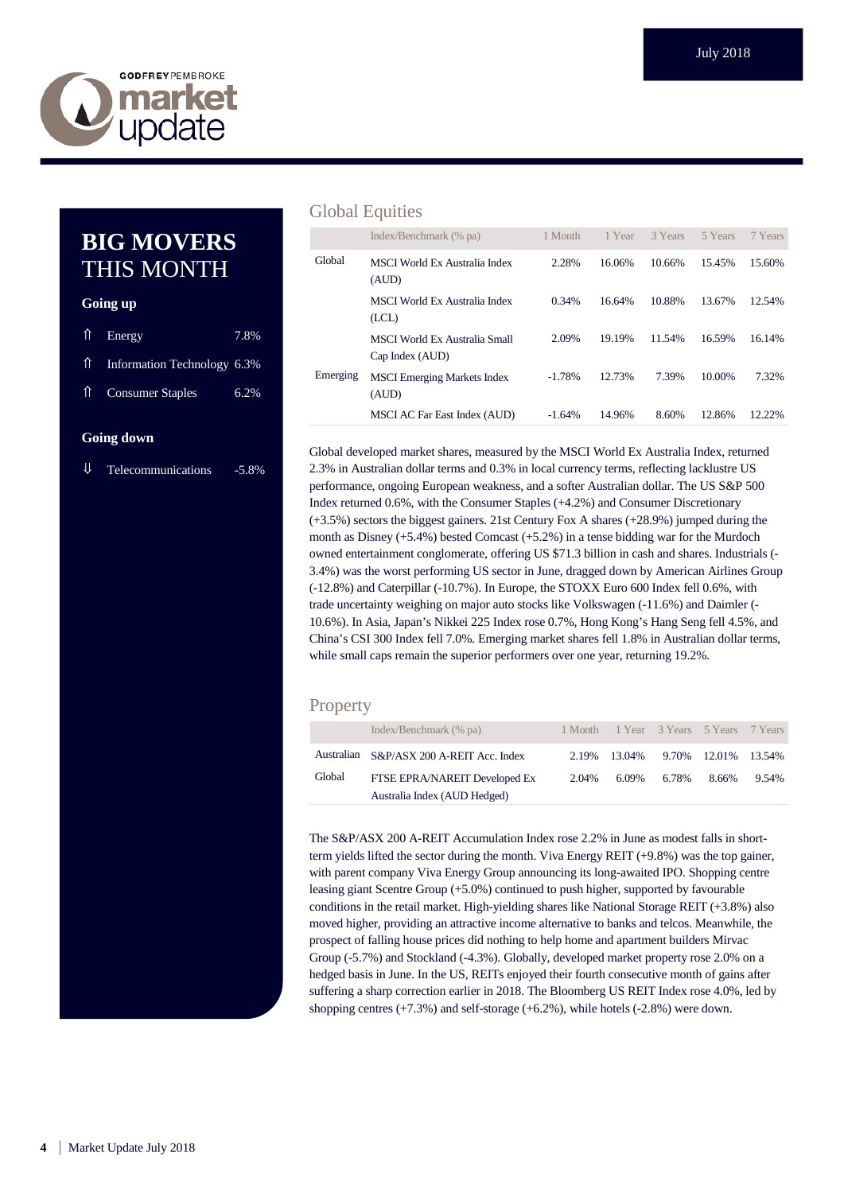

## **BIG MOVERS** THIS MONTH

#### **Going up**

| $\hat{\parallel}$ Energy       | 7.8% |
|--------------------------------|------|
| 11 Information Technology 6.3% |      |
| 1 Consumer Staples             | 6.2% |
|                                |      |

#### **Going down**

 $\downarrow$  Telecommunications -5.8%

#### Global Equities

|          | Index/Benchmark (% pa)                           | 1 Month  | 1 Year | 3 Years | 5 Years | 7 Years |
|----------|--------------------------------------------------|----------|--------|---------|---------|---------|
| Global   | <b>MSCI</b> World Ex Australia Index<br>(AUD)    | 2.28%    | 16.06% | 10.66%  | 15.45%  | 15.60%  |
|          | <b>MSCI</b> World Ex Australia Index<br>(LCL)    | 0.34%    | 16.64% | 10.88%  | 13.67%  | 12.54%  |
|          | MSCI World Ex Australia Small<br>Cap Index (AUD) | 2.09%    | 19.19% | 11.54%  | 16.59%  | 16.14%  |
| Emerging | <b>MSCI</b> Emerging Markets Index<br>(AUD)      | $-1.78%$ | 12.73% | 7.39%   | 10.00%  | 7.32%   |
|          | MSCI AC Far East Index (AUD)                     | $-1.64%$ | 14.96% | 8.60%   | 12.86%  | 12.22%  |

Global developed market shares, measured by the MSCI World Ex Australia Index, returned 2.3% in Australian dollar terms and 0.3% in local currency terms, reflecting lacklustre US performance, ongoing European weakness, and a softer Australian dollar. The US S&P 500 Index returned 0.6%, with the Consumer Staples (+4.2%) and Consumer Discretionary (+3.5%) sectors the biggest gainers. 21st Century Fox A shares (+28.9%) jumped during the month as Disney (+5.4%) bested Comcast (+5.2%) in a tense bidding war for the Murdoch owned entertainment conglomerate, offering US \$71.3 billion in cash and shares. Industrials (- 3.4%) was the worst performing US sector in June, dragged down by American Airlines Group (-12.8%) and Caterpillar (-10.7%). In Europe, the STOXX Euro 600 Index fell 0.6%, with trade uncertainty weighing on major auto stocks like Volkswagen (-11.6%) and Daimler (- 10.6%). In Asia, Japan's Nikkei 225 Index rose 0.7%, Hong Kong's Hang Seng fell 4.5%, and China's CSI 300 Index fell 7.0%. Emerging market shares fell 1.8% in Australian dollar terms, while small caps remain the superior performers over one year, returning 19.2%.

#### **Property**

|        | Index/Benchmark (% pa)                   |       | 1 Month 1 Year 3 Years 5 Years 7 Years |       |                     |       |
|--------|------------------------------------------|-------|----------------------------------------|-------|---------------------|-------|
|        | Australian S&P/ASX 200 A-REIT Acc. Index |       | 2.19% 13.04%                           |       | 9.70% 12.01% 13.54% |       |
| Global | FTSE EPRA/NAREIT Developed Ex            | 2.04% | 6.09%                                  | 6.78% | 8.66%               | 9.54% |
|        | Australia Index (AUD Hedged)             |       |                                        |       |                     |       |

The S&P/ASX 200 A-REIT Accumulation Index rose 2.2% in June as modest falls in shortterm yields lifted the sector during the month. Viva Energy REIT (+9.8%) was the top gainer, with parent company Viva Energy Group announcing its long-awaited IPO. Shopping centre leasing giant Scentre Group (+5.0%) continued to push higher, supported by favourable conditions in the retail market. High-yielding shares like National Storage REIT (+3.8%) also moved higher, providing an attractive income alternative to banks and telcos. Meanwhile, the prospect of falling house prices did nothing to help home and apartment builders Mirvac Group (-5.7%) and Stockland (-4.3%). Globally, developed market property rose 2.0% on a hedged basis in June. In the US, REITs enjoyed their fourth consecutive month of gains after suffering a sharp correction earlier in 2018. The Bloomberg US REIT Index rose 4.0%, led by shopping centres (+7.3%) and self-storage (+6.2%), while hotels (-2.8%) were down.